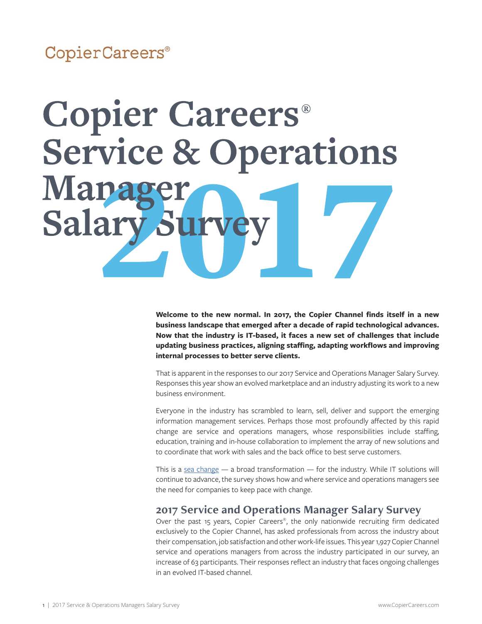# CopierCareers®

# **Copier Careers®** Service & Operations **Ma** Salary Sur

**Welcome to the new normal. In 2017, the Copier Channel finds itself in a new business landscape that emerged after a decade of rapid technological advances. Now that the industry is IT-based, it faces a new set of challenges that include updating business practices, aligning staffing, adapting workflows and improving internal processes to better serve clients.** 

That is apparent in the responses to our 2017 Service and Operations Manager Salary Survey. Responses this year show an evolved marketplace and an industry adjusting its work to a new business environment.

Everyone in the industry has scrambled to learn, sell, deliver and support the emerging information management services. Perhaps those most profoundly affected by this rapid change are service and operations managers, whose responsibilities include staffing, education, training and in-house collaboration to implement the array of new solutions and to coordinate that work with sales and the back office to best serve customers.

This is a [sea change](https://en.wikipedia.org/wiki/Sea_change_(idiom)) — a broad transformation — for the industry. While IT solutions will continue to advance, the survey shows how and where service and operations managers see the need for companies to keep pace with change.

#### **2017 Service and Operations Manager Salary Survey**

Over the past 15 years, Copier Careers®, the only nationwide recruiting firm dedicated exclusively to the Copier Channel, has asked professionals from across the industry about their compensation, job satisfaction and other work-life issues. This year 1,927 Copier Channel service and operations managers from across the industry participated in our survey, an increase of 63 participants. Their responses reflect an industry that faces ongoing challenges in an evolved IT-based channel.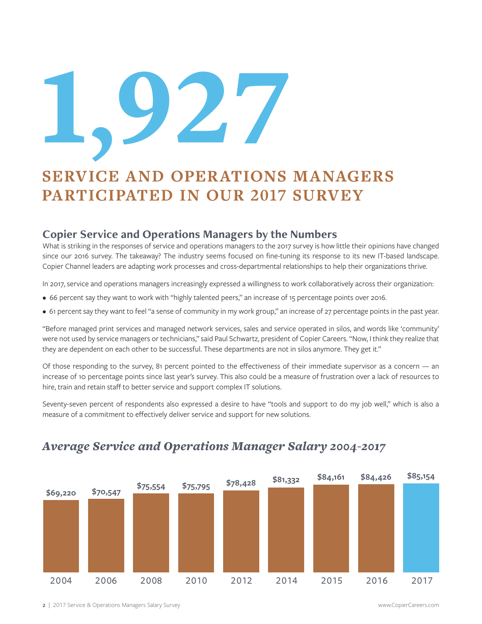# 127

# **SERVICE AND OPERATIONS MANAGERS PARTICIPATED IN OUR 2017 SURVEY**

#### **Copier Service and Operations Managers by the Numbers**

What is striking in the responses of service and operations managers to the 2017 survey is how little their opinions have changed since our 2016 survey. The takeaway? The industry seems focused on fine-tuning its response to its new IT-based landscape. Copier Channel leaders are adapting work processes and cross-departmental relationships to help their organizations thrive.

In 2017, service and operations managers increasingly expressed a willingness to work collaboratively across their organization:

- 66 percent say they want to work with "highly talented peers," an increase of 15 percentage points over 2016.
- 61 percent say they want to feel "a sense of community in my work group," an increase of 27 percentage points in the past year.

"Before managed print services and managed network services, sales and service operated in silos, and words like 'community' were not used by service managers or technicians," said Paul Schwartz, president of Copier Careers. "Now, I think they realize that they are dependent on each other to be successful. These departments are not in silos anymore. They get it."

Of those responding to the survey, 81 percent pointed to the effectiveness of their immediate supervisor as a concern — an increase of 10 percentage points since last year's survey. This also could be a measure of frustration over a lack of resources to hire, train and retain staff to better service and support complex IT solutions.

Seventy-seven percent of respondents also expressed a desire to have "tools and support to do my job well," which is also a measure of a commitment to effectively deliver service and support for new solutions.



#### *Average Service and Operations Manager Salary 2004-2017*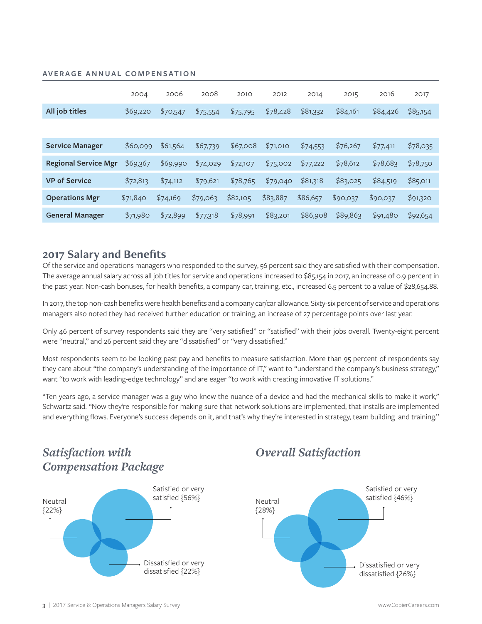#### **AVERAGE ANNUAL COMPENSATION**

|                             | 2004     | 2006     | 2008     | 2010     | 2012     | 2014     | 2015     | 2016     | 2017     |
|-----------------------------|----------|----------|----------|----------|----------|----------|----------|----------|----------|
| All job titles              | \$69,220 | \$70,547 | \$75,554 | \$75,795 | \$78,428 | \$81,332 | \$84,161 | \$84,426 | \$85,154 |
|                             |          |          |          |          |          |          |          |          |          |
| <b>Service Manager</b>      | \$60,099 | \$61,564 | \$67,739 | \$67,008 | \$71,010 | \$74,553 | \$76,267 | \$77,411 | \$78,035 |
| <b>Regional Service Mgr</b> | \$69,367 | \$69,990 | \$74,029 | \$72,107 | \$75,002 | \$77,222 | \$78,612 | \$78,683 | \$78,750 |
| <b>VP of Service</b>        | \$72,813 | \$74,112 | \$79,621 | \$78,765 | \$79,040 | \$81,318 | \$83,025 | \$84,519 | \$85,011 |
| <b>Operations Mgr</b>       | \$71,840 | \$74,169 | \$79,063 | \$82,105 | \$83,887 | \$86,657 | \$90,037 | \$90,037 | \$91,320 |
| <b>General Manager</b>      | \$71,980 | \$72,899 | \$77,318 | \$78,991 | \$83,201 | \$86,908 | \$89,863 | \$91,480 | \$92,654 |

#### **2017 Salary and Benefits**

Of the service and operations managers who responded to the survey, 56 percent said they are satisfied with their compensation. The average annual salary across all job titles for service and operations increased to \$85,154 in 2017, an increase of 0.9 percent in the past year. Non-cash bonuses, for health benefits, a company car, training, etc., increased 6.5 percent to a value of \$28,654.88.

In 2017, the top non-cash benefits were health benefits and a company car/car allowance. Sixty-six percent of service and operations managers also noted they had received further education or training, an increase of 27 percentage points over last year.

Only 46 percent of survey respondents said they are "very satisfied" or "satisfied" with their jobs overall. Twenty-eight percent were "neutral," and 26 percent said they are "dissatisfied" or "very dissatisfied."

Most respondents seem to be looking past pay and benefits to measure satisfaction. More than 95 percent of respondents say they care about "the company's understanding of the importance of IT," want to "understand the company's business strategy," want "to work with leading-edge technology" and are eager "to work with creating innovative IT solutions."

"Ten years ago, a service manager was a guy who knew the nuance of a device and had the mechanical skills to make it work," Schwartz said. "Now they're responsible for making sure that network solutions are implemented, that installs are implemented and everything flows. Everyone's success depends on it, and that's why they're interested in strategy, team building and training."

# *Satisfaction with Compensation Package*



# *Overall Satisfaction*

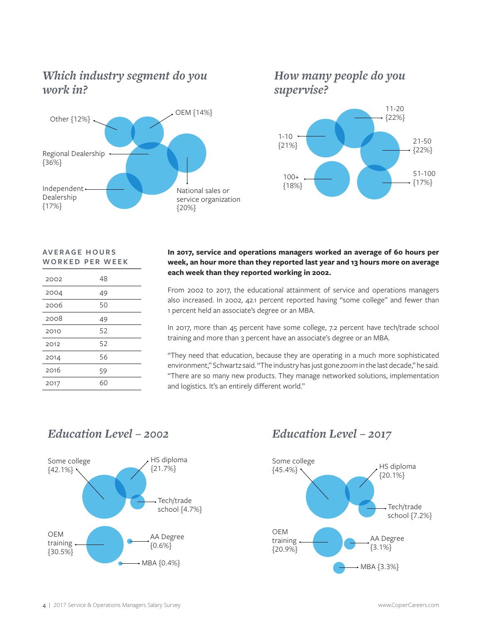# *Which industry segment do you work in?*



### *How many people do you supervise?*



#### **AV E R A G E H O U R S WORKED PER WEEK**

| 2002 | 48 |
|------|----|
| 2004 | 49 |
| 2006 | 50 |
| 2008 | 49 |
| 2010 | 52 |
| 2012 | 52 |
| 2014 | 56 |
| 2016 | 59 |
| 2017 | 60 |

#### **In 2017, service and operations managers worked an average of 60 hours per week, an hour more than they reported last year and 13 hours more on average each week than they reported working in 2002.**

From 2002 to 2017, the educational attainment of service and operations managers also increased. In 2002, 42.1 percent reported having "some college" and fewer than 1 percent held an associate's degree or an MBA.

In 2017, more than 45 percent have some college, 7.2 percent have tech/trade school training and more than 3 percent have an associate's degree or an MBA.

"They need that education, because they are operating in a much more sophisticated environment," Schwartz said. "The industry has just gone *zoom* in the last decade," he said. "There are so many new products. They manage networked solutions, implementation and logistics. It's an entirely different world."

# *Education Level – 2002 Education Level – 2017*



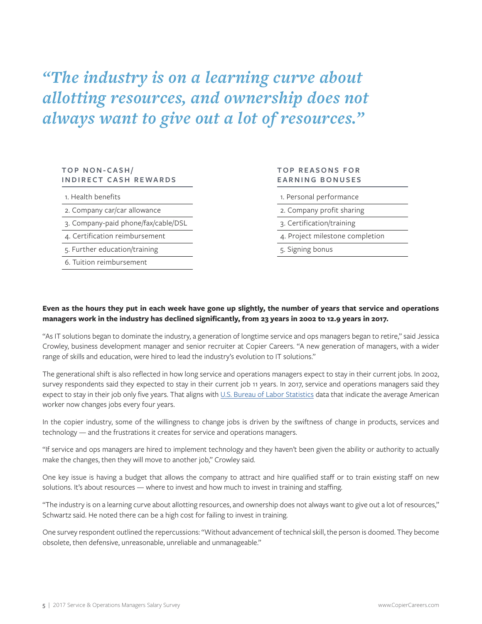*"The industry is on a learning curve about allotting resources, and ownership does not always want to give out a lot of resources."*

#### **TOP NON-CASH/ INDIRECT CASH REWARDS**

1. Health benefits

2. Company car/car allowance

3. Company-paid phone/fax/cable/DSL

4. Certification reimbursement

5. Further education/training

6. Tuition reimbursement

#### **TOP REASONS FOR EARNING BONUSES**

1. Personal performance

2. Company profit sharing

3. Certification/training

4. Project milestone completion

5. Signing bonus

#### **Even as the hours they put in each week have gone up slightly, the number of years that service and operations managers work in the industry has declined significantly, from 23 years in 2002 to 12.9 years in 2017.**

"As IT solutions began to dominate the industry, a generation of longtime service and ops managers began to retire," said Jessica Crowley, business development manager and senior recruiter at Copier Careers. "A new generation of managers, with a wider range of skills and education, were hired to lead the industry's evolution to IT solutions."

The generational shift is also reflected in how long service and operations managers expect to stay in their current jobs. In 2002, survey respondents said they expected to stay in their current job 11 years. In 2017, service and operations managers said they expect to stay in their job only five years. That aligns with [U.S. Bureau of Labor Statistics](https://www.bls.gov/news.release/pdf/tenure.pdf) data that indicate the average American worker now changes jobs every four years.

In the copier industry, some of the willingness to change jobs is driven by the swiftness of change in products, services and technology — and the frustrations it creates for service and operations managers.

"If service and ops managers are hired to implement technology and they haven't been given the ability or authority to actually make the changes, then they will move to another job," Crowley said.

One key issue is having a budget that allows the company to attract and hire qualified staff or to train existing staff 0n new solutions. It's about resources — where to invest and how much to invest in training and staffing.

"The industry is on a learning curve about allotting resources, and ownership does not always want to give out a lot of resources," Schwartz said. He noted there can be a high cost for failing to invest in training.

One survey respondent outlined the repercussions: "Without advancement of technical skill, the person is doomed. They become obsolete, then defensive, unreasonable, unreliable and unmanageable."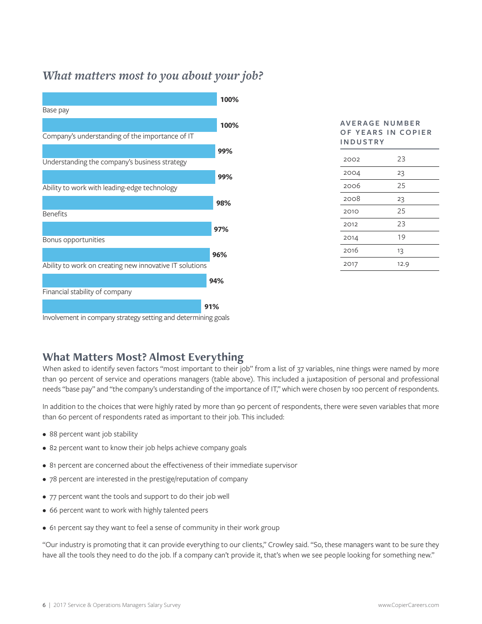# *What matters most to you about your job?*



| OF YEARS IN COPIER<br><b>INDUSTRY</b> |      |  |  |  |  |  |
|---------------------------------------|------|--|--|--|--|--|
| 2002                                  | 23   |  |  |  |  |  |
| 2004                                  | 23   |  |  |  |  |  |
| 2006                                  | 25   |  |  |  |  |  |
| 2008                                  | 23   |  |  |  |  |  |
| 2010                                  | 25   |  |  |  |  |  |
| 2012                                  | 23   |  |  |  |  |  |
| 2014                                  | 19   |  |  |  |  |  |
| 2016                                  | 13   |  |  |  |  |  |
| 2017                                  | 12.9 |  |  |  |  |  |

**AV E R A G E N U M B E R** 

Involvement in company strategy setting and determining goals

#### **What Matters Most? Almost Everything**

When asked to identify seven factors "most important to their job" from a list of 37 variables, nine things were named by more than 90 percent of service and operations managers (table above). This included a juxtaposition of personal and professional needs "base pay" and "the company's understanding of the importance of IT," which were chosen by 100 percent of respondents.

In addition to the choices that were highly rated by more than 90 percent of respondents, there were seven variables that more than 60 percent of respondents rated as important to their job. This included:

- 88 percent want job stability
- 82 percent want to know their job helps achieve company goals
- 81 percent are concerned about the effectiveness of their immediate supervisor
- 78 percent are interested in the prestige/reputation of company
- 77 percent want the tools and support to do their job well
- 66 percent want to work with highly talented peers
- 61 percent say they want to feel a sense of community in their work group

"Our industry is promoting that it can provide everything to our clients," Crowley said. "So, these managers want to be sure they have all the tools they need to do the job. If a company can't provide it, that's when we see people looking for something new."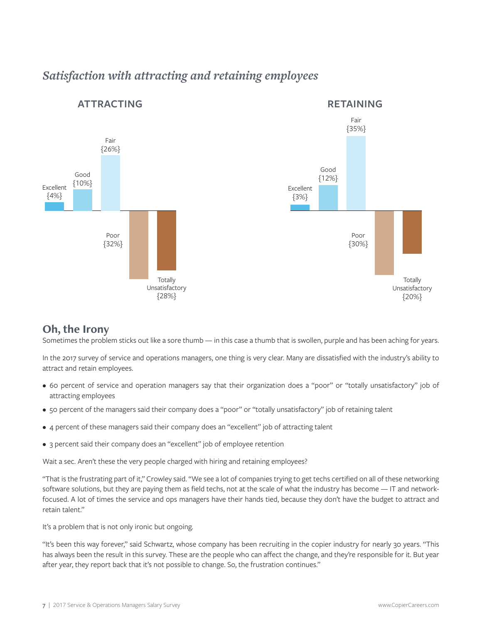

# *Satisfaction with attracting and retaining employees*

#### **Oh, the Irony**

Sometimes the problem sticks out like a sore thumb — in this case a thumb that is swollen, purple and has been aching for years.

In the 2017 survey of service and operations managers, one thing is very clear. Many are dissatisfied with the industry's ability to attract and retain employees.

- 60 percent of service and operation managers say that their organization does a "poor" or "totally unsatisfactory" job of attracting employees
- 50 percent of the managers said their company does a "poor" or "totally unsatisfactory" job of retaining talent
- 4 percent of these managers said their company does an "excellent" job of attracting talent
- 3 percent said their company does an "excellent" job of employee retention

Wait a sec. Aren't these the very people charged with hiring and retaining employees?

"That is the frustrating part of it," Crowley said. "We see a lot of companies trying to get techs certified on all of these networking software solutions, but they are paying them as field techs, not at the scale of what the industry has become — IT and networkfocused. A lot of times the service and ops managers have their hands tied, because they don't have the budget to attract and retain talent."

It's a problem that is not only ironic but ongoing.

"It's been this way forever," said Schwartz, whose company has been recruiting in the copier industry for nearly 30 years. "This has always been the result in this survey. These are the people who can affect the change, and they're responsible for it. But year after year, they report back that it's not possible to change. So, the frustration continues."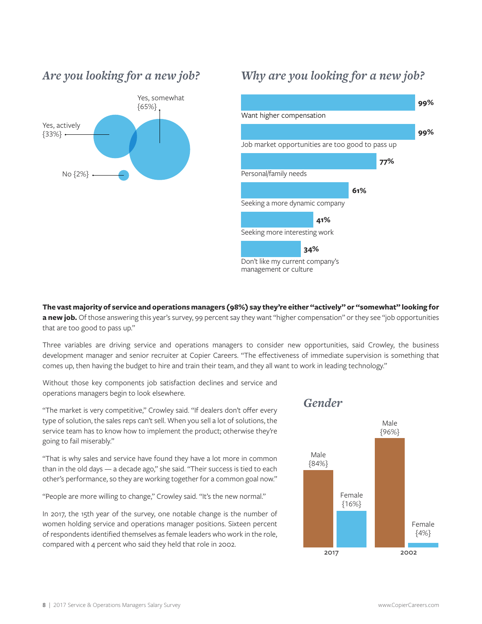



### *Why are you looking for a new job?*



**The vast majority of service and operations managers (98%) say they're either "actively" or "somewhat" looking for a new job.** Of those answering this year's survey, 99 percent say they want "higher compensation" or they see "job opportunities that are too good to pass up."

Three variables are driving service and operations managers to consider new opportunities, said Crowley, the business development manager and senior recruiter at Copier Careers. "The effectiveness of immediate supervision is something that comes up, then having the budget to hire and train their team, and they all want to work in leading technology."

Without those key components job satisfaction declines and service and operations managers begin to look elsewhere.

"The market is very competitive," Crowley said. "If dealers don't offer every type of solution, the sales reps can't sell. When you sell a lot of solutions, the service team has to know how to implement the product; otherwise they're going to fail miserably."

"That is why sales and service have found they have a lot more in common than in the old days — a decade ago," she said. "Their success is tied to each other's performance, so they are working together for a common goal now."

"People are more willing to change," Crowley said. "It's the new normal."

In 2017, the 15th year of the survey, one notable change is the number of women holding service and operations manager positions. Sixteen percent of respondents identified themselves as female leaders who work in the role, compared with 4 percent who said they held that role in 2002.